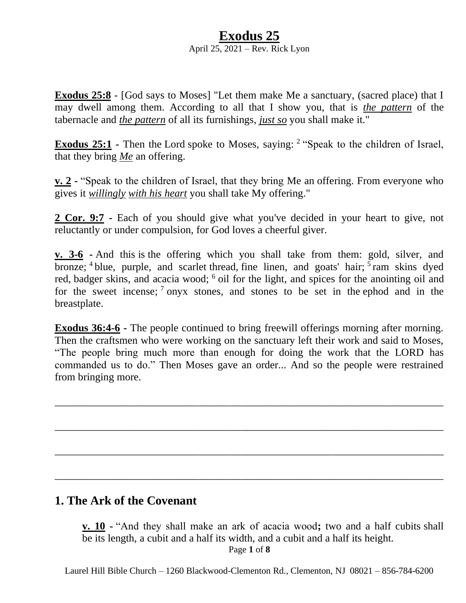#### **Exodus 25** April 25, 2021 – Rev. Rick Lyon

**Exodus 25:8** - [God says to Moses] "Let them make Me a sanctuary, (sacred place) that I may dwell among them. According to all that I show you, that is *the pattern* of the tabernacle and *the pattern* of all its furnishings, *just so* you shall make it."

**Exodus 25:1** - Then the Lord spoke to Moses, saying: <sup>2</sup> "Speak to the children of Israel, that they bring *Me* an offering.

**v. 2 -** "Speak to the children of Israel, that they bring Me an offering. From everyone who gives it *willingly with his heart* you shall take My offering."

**2 Cor. 9:7 -** Each of you should give what you've decided in your heart to give, not reluctantly or under compulsion, for God loves a cheerful giver.

**v. 3-6 -** And this is the offering which you shall take from them: gold, silver, and bronze; <sup>4</sup> blue, purple, and scarlet thread, fine linen, and goats' hair; <sup>5</sup> ram skins dyed red, badger skins, and acacia wood; <sup>6</sup> oil for the light, and spices for the anointing oil and for the sweet incense;  $7$  onyx stones, and stones to be set in the ephod and in the breastplate.

**Exodus 36:4-6 -** The people continued to bring freewill offerings morning after morning. Then the craftsmen who were working on the sanctuary left their work and said to Moses, "The people bring much more than enough for doing the work that the LORD has commanded us to do." Then Moses gave an order... And so the people were restrained from bringing more.

\_\_\_\_\_\_\_\_\_\_\_\_\_\_\_\_\_\_\_\_\_\_\_\_\_\_\_\_\_\_\_\_\_\_\_\_\_\_\_\_\_\_\_\_\_\_\_\_\_\_\_\_\_\_\_\_\_\_\_\_\_\_\_\_\_\_\_\_\_\_\_\_\_

\_\_\_\_\_\_\_\_\_\_\_\_\_\_\_\_\_\_\_\_\_\_\_\_\_\_\_\_\_\_\_\_\_\_\_\_\_\_\_\_\_\_\_\_\_\_\_\_\_\_\_\_\_\_\_\_\_\_\_\_\_\_\_\_\_\_\_\_\_\_\_\_\_

\_\_\_\_\_\_\_\_\_\_\_\_\_\_\_\_\_\_\_\_\_\_\_\_\_\_\_\_\_\_\_\_\_\_\_\_\_\_\_\_\_\_\_\_\_\_\_\_\_\_\_\_\_\_\_\_\_\_\_\_\_\_\_\_\_\_\_\_\_\_\_\_\_

\_\_\_\_\_\_\_\_\_\_\_\_\_\_\_\_\_\_\_\_\_\_\_\_\_\_\_\_\_\_\_\_\_\_\_\_\_\_\_\_\_\_\_\_\_\_\_\_\_\_\_\_\_\_\_\_\_\_\_\_\_\_\_\_\_\_\_\_\_\_\_\_\_

## **1. The Ark of the Covenant**

**v. 10 -** "And they shall make an ark of acacia wood**;** two and a half cubits shall be its length, a cubit and a half its width, and a cubit and a half its height.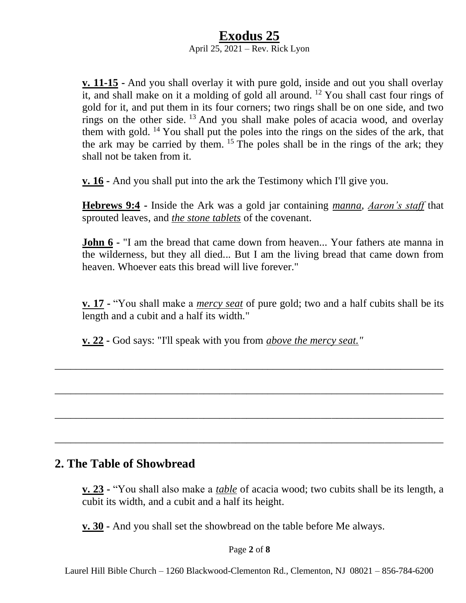### **Exodus 25** April 25, 2021 – Rev. Rick Lyon

**v. 11-15 -** And you shall overlay it with pure gold, inside and out you shall overlay it, and shall make on it a molding of gold all around. <sup>12</sup> You shall cast four rings of gold for it, and put them in its four corners; two rings shall be on one side, and two rings on the other side.  $^{13}$  And you shall make poles of acacia wood, and overlay them with gold. <sup>14</sup> You shall put the poles into the rings on the sides of the ark, that the ark may be carried by them. <sup>15</sup> The poles shall be in the rings of the ark; they shall not be taken from it.

**v. 16 -** And you shall put into the ark the Testimony which I'll give you.

**Hebrews 9:4 -** Inside the Ark was a gold jar containing *manna*, *Aaron's staff* that sprouted leaves, and *the stone tablets* of the covenant.

**John 6 -** "I am the bread that came down from heaven... Your fathers ate manna in the wilderness, but they all died... But I am the living bread that came down from heaven. Whoever eats this bread will live forever."

**v. 17 -** "You shall make a *mercy seat* of pure gold; two and a half cubits shall be its length and a cubit and a half its width."

\_\_\_\_\_\_\_\_\_\_\_\_\_\_\_\_\_\_\_\_\_\_\_\_\_\_\_\_\_\_\_\_\_\_\_\_\_\_\_\_\_\_\_\_\_\_\_\_\_\_\_\_\_\_\_\_\_\_\_\_\_\_\_\_\_\_\_\_\_\_\_\_\_

\_\_\_\_\_\_\_\_\_\_\_\_\_\_\_\_\_\_\_\_\_\_\_\_\_\_\_\_\_\_\_\_\_\_\_\_\_\_\_\_\_\_\_\_\_\_\_\_\_\_\_\_\_\_\_\_\_\_\_\_\_\_\_\_\_\_\_\_\_\_\_\_\_

\_\_\_\_\_\_\_\_\_\_\_\_\_\_\_\_\_\_\_\_\_\_\_\_\_\_\_\_\_\_\_\_\_\_\_\_\_\_\_\_\_\_\_\_\_\_\_\_\_\_\_\_\_\_\_\_\_\_\_\_\_\_\_\_\_\_\_\_\_\_\_\_\_

\_\_\_\_\_\_\_\_\_\_\_\_\_\_\_\_\_\_\_\_\_\_\_\_\_\_\_\_\_\_\_\_\_\_\_\_\_\_\_\_\_\_\_\_\_\_\_\_\_\_\_\_\_\_\_\_\_\_\_\_\_\_\_\_\_\_\_\_\_\_\_\_\_

**v. 22 -** God says: "I'll speak with you from *above the mercy seat."*

### **2. The Table of Showbread**

**v. 23 -** "You shall also make a *table* of acacia wood; two cubits shall be its length, a cubit its width, and a cubit and a half its height.

**v. 30 -** And you shall set the showbread on the table before Me always.

Page **2** of **8**

Laurel Hill Bible Church – 1260 Blackwood-Clementon Rd., Clementon, NJ 08021 – 856-784-6200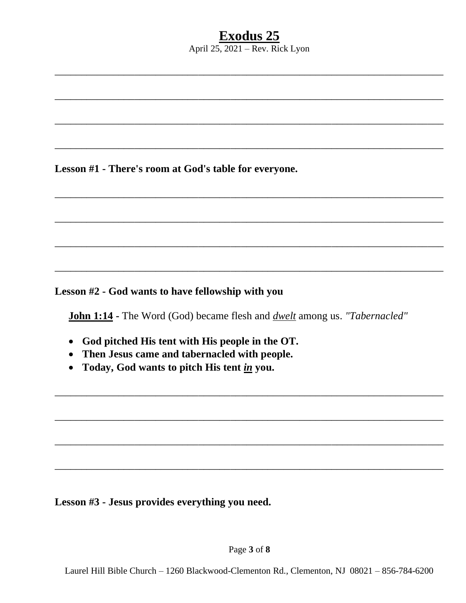April  $25$ ,  $2021$  – Rev. Rick Lyon

Lesson #1 - There's room at God's table for everyone.

Lesson #2 - God wants to have fellowship with you

John 1:14 - The Word (God) became flesh and *dwelt* among us. "Tabernacled"

- God pitched His tent with His people in the OT.
- Then Jesus came and tabernacled with people.
- Today, God wants to pitch His tent in you.

Lesson #3 - Jesus provides everything you need.

Page 3 of 8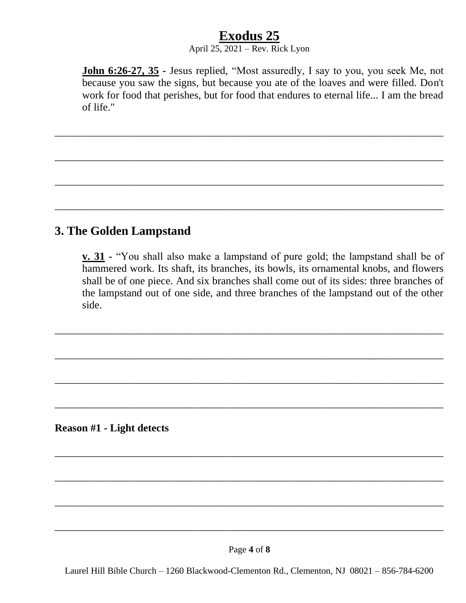### April 25, 2021 – Rev. Rick Lyon

\_\_\_\_\_\_\_\_\_\_\_\_\_\_\_\_\_\_\_\_\_\_\_\_\_\_\_\_\_\_\_\_\_\_\_\_\_\_\_\_\_\_\_\_\_\_\_\_\_\_\_\_\_\_\_\_\_\_\_\_\_\_\_\_\_\_\_\_\_\_\_\_\_

\_\_\_\_\_\_\_\_\_\_\_\_\_\_\_\_\_\_\_\_\_\_\_\_\_\_\_\_\_\_\_\_\_\_\_\_\_\_\_\_\_\_\_\_\_\_\_\_\_\_\_\_\_\_\_\_\_\_\_\_\_\_\_\_\_\_\_\_\_\_\_\_\_

\_\_\_\_\_\_\_\_\_\_\_\_\_\_\_\_\_\_\_\_\_\_\_\_\_\_\_\_\_\_\_\_\_\_\_\_\_\_\_\_\_\_\_\_\_\_\_\_\_\_\_\_\_\_\_\_\_\_\_\_\_\_\_\_\_\_\_\_\_\_\_\_\_

\_\_\_\_\_\_\_\_\_\_\_\_\_\_\_\_\_\_\_\_\_\_\_\_\_\_\_\_\_\_\_\_\_\_\_\_\_\_\_\_\_\_\_\_\_\_\_\_\_\_\_\_\_\_\_\_\_\_\_\_\_\_\_\_\_\_\_\_\_\_\_\_\_

**John 6:26-27, 35 -** Jesus replied, "Most assuredly, I say to you, you seek Me, not because you saw the signs, but because you ate of the loaves and were filled. Don't work for food that perishes, but for food that endures to eternal life... I am the bread of life."

# **3. The Golden Lampstand**

**v. 31 -** "You shall also make a lampstand of pure gold; the lampstand shall be of hammered work. Its shaft, its branches, its bowls, its ornamental knobs, and flowers shall be of one piece. And six branches shall come out of its sides: three branches of the lampstand out of one side, and three branches of the lampstand out of the other side.

\_\_\_\_\_\_\_\_\_\_\_\_\_\_\_\_\_\_\_\_\_\_\_\_\_\_\_\_\_\_\_\_\_\_\_\_\_\_\_\_\_\_\_\_\_\_\_\_\_\_\_\_\_\_\_\_\_\_\_\_\_\_\_\_\_\_\_\_\_\_\_\_\_

\_\_\_\_\_\_\_\_\_\_\_\_\_\_\_\_\_\_\_\_\_\_\_\_\_\_\_\_\_\_\_\_\_\_\_\_\_\_\_\_\_\_\_\_\_\_\_\_\_\_\_\_\_\_\_\_\_\_\_\_\_\_\_\_\_\_\_\_\_\_\_\_\_

\_\_\_\_\_\_\_\_\_\_\_\_\_\_\_\_\_\_\_\_\_\_\_\_\_\_\_\_\_\_\_\_\_\_\_\_\_\_\_\_\_\_\_\_\_\_\_\_\_\_\_\_\_\_\_\_\_\_\_\_\_\_\_\_\_\_\_\_\_\_\_\_\_

\_\_\_\_\_\_\_\_\_\_\_\_\_\_\_\_\_\_\_\_\_\_\_\_\_\_\_\_\_\_\_\_\_\_\_\_\_\_\_\_\_\_\_\_\_\_\_\_\_\_\_\_\_\_\_\_\_\_\_\_\_\_\_\_\_\_\_\_\_\_\_\_\_

\_\_\_\_\_\_\_\_\_\_\_\_\_\_\_\_\_\_\_\_\_\_\_\_\_\_\_\_\_\_\_\_\_\_\_\_\_\_\_\_\_\_\_\_\_\_\_\_\_\_\_\_\_\_\_\_\_\_\_\_\_\_\_\_\_\_\_\_\_\_\_\_\_

\_\_\_\_\_\_\_\_\_\_\_\_\_\_\_\_\_\_\_\_\_\_\_\_\_\_\_\_\_\_\_\_\_\_\_\_\_\_\_\_\_\_\_\_\_\_\_\_\_\_\_\_\_\_\_\_\_\_\_\_\_\_\_\_\_\_\_\_\_\_\_\_\_

\_\_\_\_\_\_\_\_\_\_\_\_\_\_\_\_\_\_\_\_\_\_\_\_\_\_\_\_\_\_\_\_\_\_\_\_\_\_\_\_\_\_\_\_\_\_\_\_\_\_\_\_\_\_\_\_\_\_\_\_\_\_\_\_\_\_\_\_\_\_\_\_\_

\_\_\_\_\_\_\_\_\_\_\_\_\_\_\_\_\_\_\_\_\_\_\_\_\_\_\_\_\_\_\_\_\_\_\_\_\_\_\_\_\_\_\_\_\_\_\_\_\_\_\_\_\_\_\_\_\_\_\_\_\_\_\_\_\_\_\_\_\_\_\_\_\_

**Reason #1 - Light detects**

Laurel Hill Bible Church – 1260 Blackwood-Clementon Rd., Clementon, NJ 08021 – 856-784-6200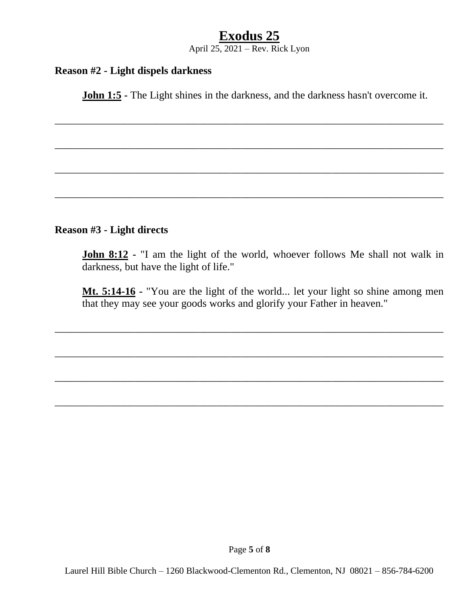April 25, 2021 – Rev. Rick Lyon

#### **Reason #2 - Light dispels darkness**

**John 1:5** - The Light shines in the darkness, and the darkness hasn't overcome it.

\_\_\_\_\_\_\_\_\_\_\_\_\_\_\_\_\_\_\_\_\_\_\_\_\_\_\_\_\_\_\_\_\_\_\_\_\_\_\_\_\_\_\_\_\_\_\_\_\_\_\_\_\_\_\_\_\_\_\_\_\_\_\_\_\_\_\_\_\_\_\_\_\_

\_\_\_\_\_\_\_\_\_\_\_\_\_\_\_\_\_\_\_\_\_\_\_\_\_\_\_\_\_\_\_\_\_\_\_\_\_\_\_\_\_\_\_\_\_\_\_\_\_\_\_\_\_\_\_\_\_\_\_\_\_\_\_\_\_\_\_\_\_\_\_\_\_

\_\_\_\_\_\_\_\_\_\_\_\_\_\_\_\_\_\_\_\_\_\_\_\_\_\_\_\_\_\_\_\_\_\_\_\_\_\_\_\_\_\_\_\_\_\_\_\_\_\_\_\_\_\_\_\_\_\_\_\_\_\_\_\_\_\_\_\_\_\_\_\_\_

\_\_\_\_\_\_\_\_\_\_\_\_\_\_\_\_\_\_\_\_\_\_\_\_\_\_\_\_\_\_\_\_\_\_\_\_\_\_\_\_\_\_\_\_\_\_\_\_\_\_\_\_\_\_\_\_\_\_\_\_\_\_\_\_\_\_\_\_\_\_\_\_\_

#### **Reason #3 - Light directs**

**John 8:12 -** "I am the light of the world, whoever follows Me shall not walk in darkness, but have the light of life."

**Mt. 5:14-16 -** "You are the light of the world... let your light so shine among men that they may see your goods works and glorify your Father in heaven."

\_\_\_\_\_\_\_\_\_\_\_\_\_\_\_\_\_\_\_\_\_\_\_\_\_\_\_\_\_\_\_\_\_\_\_\_\_\_\_\_\_\_\_\_\_\_\_\_\_\_\_\_\_\_\_\_\_\_\_\_\_\_\_\_\_\_\_\_\_\_\_\_\_

\_\_\_\_\_\_\_\_\_\_\_\_\_\_\_\_\_\_\_\_\_\_\_\_\_\_\_\_\_\_\_\_\_\_\_\_\_\_\_\_\_\_\_\_\_\_\_\_\_\_\_\_\_\_\_\_\_\_\_\_\_\_\_\_\_\_\_\_\_\_\_\_\_

\_\_\_\_\_\_\_\_\_\_\_\_\_\_\_\_\_\_\_\_\_\_\_\_\_\_\_\_\_\_\_\_\_\_\_\_\_\_\_\_\_\_\_\_\_\_\_\_\_\_\_\_\_\_\_\_\_\_\_\_\_\_\_\_\_\_\_\_\_\_\_\_\_

\_\_\_\_\_\_\_\_\_\_\_\_\_\_\_\_\_\_\_\_\_\_\_\_\_\_\_\_\_\_\_\_\_\_\_\_\_\_\_\_\_\_\_\_\_\_\_\_\_\_\_\_\_\_\_\_\_\_\_\_\_\_\_\_\_\_\_\_\_\_\_\_\_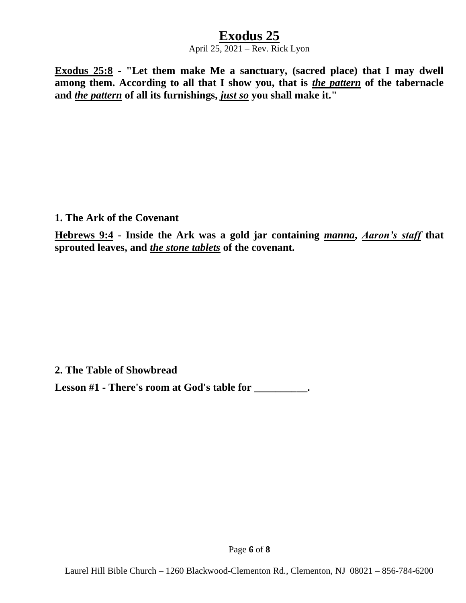#### April 25, 2021 – Rev. Rick Lyon

**Exodus 25:8 - "Let them make Me a sanctuary, (sacred place) that I may dwell among them. According to all that I show you, that is** *the pattern* **of the tabernacle and** *the pattern* **of all its furnishings,** *just so* **you shall make it."**

**1. The Ark of the Covenant**

**Hebrews 9:4 - Inside the Ark was a gold jar containing** *manna***,** *Aaron's staff* **that sprouted leaves, and** *the stone tablets* **of the covenant.**

**2. The Table of Showbread** 

**Lesson #1 - There's room at God's table for \_\_\_\_\_\_\_\_\_\_.**

Page **6** of **8**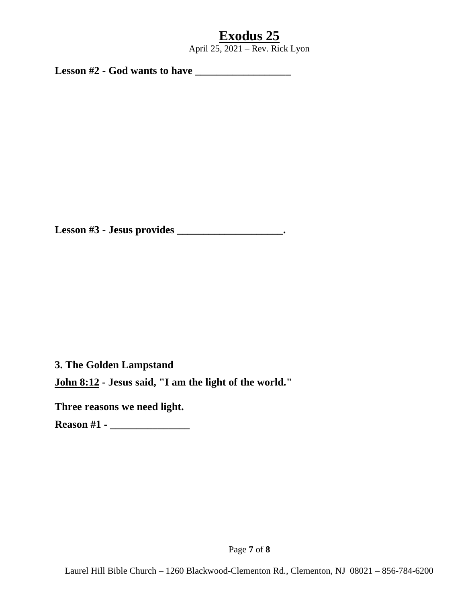April 25, 2021 – Rev. Rick Lyon

**Lesson #2 - God wants to have \_\_\_\_\_\_\_\_\_\_\_\_\_\_\_\_\_\_**

**Lesson #3 - Jesus provides \_\_\_\_\_\_\_\_\_\_\_\_\_\_\_\_\_\_\_\_.**

**3. The Golden Lampstand**

**John 8:12 - Jesus said, "I am the light of the world."**

**Three reasons we need light.**

**Reason #1 - \_\_\_\_\_\_\_\_\_\_\_\_\_\_\_**

Page **7** of **8**